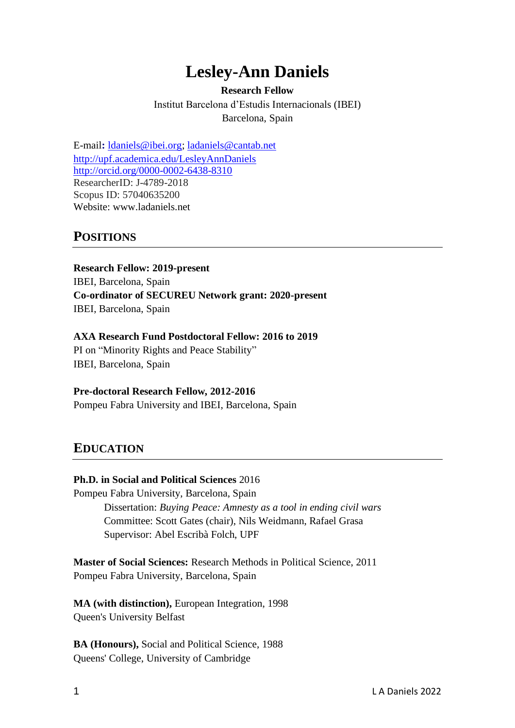# **Lesley-Ann Daniels**

# **Research Fellow**

Institut Barcelona d'Estudis Internacionals (IBEI) Barcelona, Spain

E-mail**:** [ldaniels@ibei.org;](mailto:ldaniels@ibei.org) [ladaniels@cantab.net](mailto:ladaniels@cantab.net) <http://upf.academica.edu/LesleyAnnDaniels> <http://orcid.org/0000-0002-6438-8310> ResearcherID: J-4789-2018 Scopus ID: 57040635200 Website: www.ladaniels.net

# **POSITIONS**

**Research Fellow: 2019-present** IBEI, Barcelona, Spain **Co-ordinator of SECUREU Network grant: 2020-present** IBEI, Barcelona, Spain

#### **AXA Research Fund Postdoctoral Fellow: 2016 to 2019**

PI on "Minority Rights and Peace Stability" IBEI, Barcelona, Spain

### **Pre-doctoral Research Fellow, 2012-2016**

Pompeu Fabra University and IBEI, Barcelona, Spain

### **EDUCATION**

### **Ph.D. in Social and Political Sciences** 2016

Pompeu Fabra University, Barcelona, Spain Dissertation: *Buying Peace: Amnesty as a tool in ending civil wars* Committee: Scott Gates (chair), Nils Weidmann, Rafael Grasa Supervisor: Abel Escribà Folch, UPF

**Master of Social Sciences:** Research Methods in Political Science, 2011 Pompeu Fabra University, Barcelona, Spain

**MA (with distinction),** European Integration, 1998 Queen's University Belfast

**BA (Honours),** Social and Political Science, 1988 Queens' College, University of Cambridge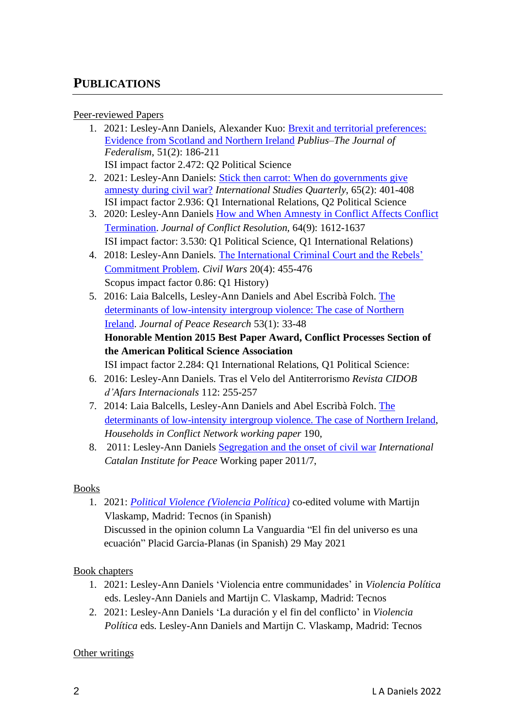# **PUBLICATIONS**

### Peer-reviewed Papers

- 1. 2021: Lesley-Ann Daniels, Alexander Kuo: [Brexit and territorial preferences:](https://academic.oup.com/publius/advance-article-abstract/doi/10.1093/publius/pjab004/6154430)  [Evidence from Scotland and Northern Ireland](https://academic.oup.com/publius/advance-article-abstract/doi/10.1093/publius/pjab004/6154430) *Publius–The Journal of Federalism*, 51(2): 186-211 ISI impact factor 2.472: Q2 Political Science
- 2. 2021: Lesley-Ann Daniels: [Stick then carrot: When do governments give](https://academic.oup.com/isq/advance-article-abstract/doi/10.1093/isq/sqab008/6144694)  [amnesty during civil war?](https://academic.oup.com/isq/advance-article-abstract/doi/10.1093/isq/sqab008/6144694) *International Studies Quarterly*, 65(2): 401-408 ISI impact factor 2.936: Q1 International Relations, Q2 Political Science
- 3. 2020: Lesley-Ann Daniels [How and When Amnesty in Conflict Affects Conflict](https://doi.org/10.1177/0022002720909884)  [Termination.](https://doi.org/10.1177/0022002720909884) *Journal of Conflict Resolution,* 64(9): 1612-1637 ISI impact factor: 3.530: Q1 Political Science, Q1 International Relations)
- 4. 2018: Lesley-Ann Daniels. [The International Criminal Court and the Rebels'](https://www.tandfonline.com/eprint/aA39Xx7J6f3jyrxCwqSa/full?target=10.1080/13698249.2018.1553021)  [Commitment](https://www.tandfonline.com/eprint/aA39Xx7J6f3jyrxCwqSa/full?target=10.1080/13698249.2018.1553021) Problem. *Civil Wars* 20(4): 455-476 Scopus impact factor 0.86: Q1 History)
- 5. 2016: Laia Balcells, Lesley-Ann Daniels and Abel Escribà Folch. [The](http://jpr.sagepub.com.sare.upf.edu/content/53/1/33.abstract)  [determinants of low-intensity intergroup violence: The case of Northern](http://jpr.sagepub.com.sare.upf.edu/content/53/1/33.abstract)  [Ireland.](http://jpr.sagepub.com.sare.upf.edu/content/53/1/33.abstract) *Journal of Peace Research* 53(1): 33-48 **Honorable Mention 2015 Best Paper Award, Conflict Processes Section of the American Political Science Association**

ISI impact factor 2.284: Q1 International Relations, Q1 Political Science:

- 6. 2016: Lesley-Ann Daniels. Tras el Velo del Antiterrorismo *Revista CIDOB d'Afars Internacionals* 112: 255-257
- 7. 2014: Laia Balcells, Lesley-Ann Daniels and Abel Escribà Folch. [The](https://www.academia.edu/9219458/The_determinants_of_low-intensity_intergroup_violence._The_case_of_Northern_Ireland)  [determinants of low-intensity intergroup violence. The case of Northern Ireland,](https://www.academia.edu/9219458/The_determinants_of_low-intensity_intergroup_violence._The_case_of_Northern_Ireland) *Households in Conflict Network working paper* 190,
- 8. 2011: Lesley-Ann Daniels [Segregation and the onset of civil war](https://papers.ssrn.com/sol3/papers.cfm?abstract_id=2033141) *International Catalan Institute for Peace* Working paper 2011/7,

### Books

1. 2021: *Political Violence [\(Violencia Política\)](https://www.tecnos.es/ficha.php?id=5975862&pageid=4)* co-edited volume with Martijn Vlaskamp, Madrid: Tecnos (in Spanish) Discussed in the opinion column La Vanguardia "El fin del universo es una ecuación" Placid Garcia-Planas (in Spanish) 29 May 2021

### Book chapters

- 1. 2021: Lesley-Ann Daniels 'Violencia entre communidades' in *Violencia Política* eds. Lesley-Ann Daniels and Martijn C. Vlaskamp, Madrid: Tecnos
- 2. 2021: Lesley-Ann Daniels 'La duración y el fin del conflicto' in *Violencia Política* eds. Lesley-Ann Daniels and Martijn C. Vlaskamp, Madrid: Tecnos

### Other writings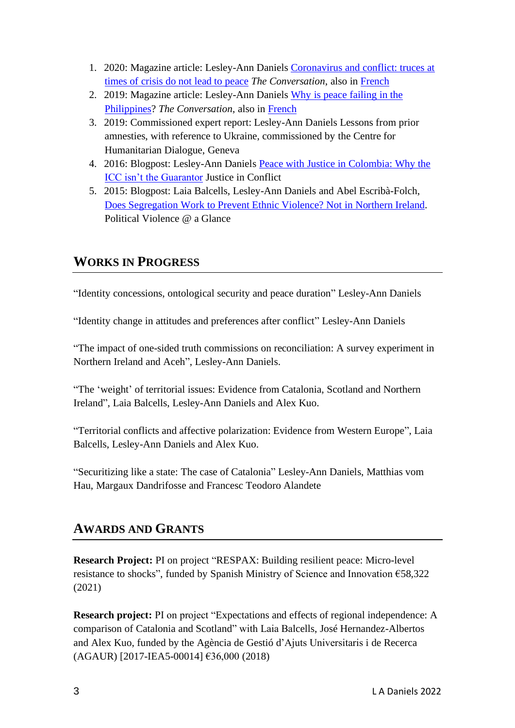- 1. 2020: Magazine article: Lesley-Ann Daniels [Coronavirus and conflict: truces at](https://theconversation.com/coronavirus-and-conflict-truces-at-times-of-crisis-do-not-lead-to-peace-on-their-own-135277)  [times of crisis do not lead to peace](https://theconversation.com/coronavirus-and-conflict-truces-at-times-of-crisis-do-not-lead-to-peace-on-their-own-135277) *The Conversation*, also in [French](https://theconversation.com/guerres-et-coronavirus-les-treves-en-temps-de-crise-ne-suffisent-pas-a-retablir-la-paix-136790)
- 2. 2019: Magazine article: Lesley-Ann Daniels [Why is peace failing in the](https://theconversation.com/why-is-peace-failing-in-the-philippines-114675)  [Philippines?](https://theconversation.com/why-is-peace-failing-in-the-philippines-114675) *The Conversation*, also in [French](https://theconversation.com/pourquoi-les-processus-de-paix-echouent-ils-116609)
- 3. 2019: Commissioned expert report: Lesley-Ann Daniels Lessons from prior amnesties, with reference to Ukraine, commissioned by the Centre for Humanitarian Dialogue, Geneva
- 4. 2016: Blogpost: Lesley-Ann Daniels [Peace with Justice in Colombia: Why the](https://justiceinconflict.org/2016/10/13/peace-with-justice-in-colombia-why-the-icc-isnt-the-guarantor/)  [ICC isn't the Guarantor](https://justiceinconflict.org/2016/10/13/peace-with-justice-in-colombia-why-the-icc-isnt-the-guarantor/) Justice in Conflict
- 5. 2015: Blogpost: Laia Balcells, Lesley-Ann Daniels and Abel Escribà-Folch, [Does Segregation Work to Prevent Ethnic Violence? Not](http://politicalviolenceataglance.org/2015/11/30/does-segregation-work-to-prevent-ethnic-violence-not-in-northern-ireland/) in Northern Ireland. Political Violence @ a Glance

# **WORKS IN PROGRESS**

"Identity concessions, ontological security and peace duration" Lesley-Ann Daniels

"Identity change in attitudes and preferences after conflict" Lesley-Ann Daniels

"The impact of one-sided truth commissions on reconciliation: A survey experiment in Northern Ireland and Aceh", Lesley-Ann Daniels.

"The 'weight' of territorial issues: Evidence from Catalonia, Scotland and Northern Ireland", Laia Balcells, Lesley-Ann Daniels and Alex Kuo.

"Territorial conflicts and affective polarization: Evidence from Western Europe", Laia Balcells, Lesley-Ann Daniels and Alex Kuo.

"Securitizing like a state: The case of Catalonia" Lesley-Ann Daniels, Matthias vom Hau, Margaux Dandrifosse and Francesc Teodoro Alandete

# **AWARDS AND GRANTS**

**Research Project:** PI on project "RESPAX: Building resilient peace: Micro-level resistance to shocks", funded by Spanish Ministry of Science and Innovation €58,322 (2021)

**Research project:** PI on project "Expectations and effects of regional independence: A comparison of Catalonia and Scotland" with Laia Balcells, José Hernandez-Albertos and Alex Kuo, funded by the Agència de Gestió d'Ajuts Universitaris i de Recerca (AGAUR) [2017-IEA5-00014] €36,000 (2018)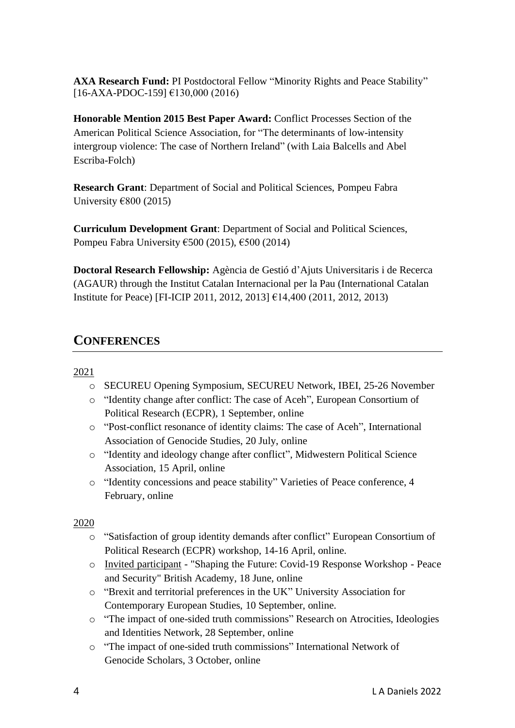**AXA Research Fund:** PI Postdoctoral Fellow "Minority Rights and Peace Stability" [16-AXA-PDOC-159] €130,000 (2016)

**Honorable Mention 2015 Best Paper Award:** Conflict Processes Section of the American Political Science Association, for "The determinants of low-intensity intergroup violence: The case of Northern Ireland" (with Laia Balcells and Abel Escriba-Folch)

**Research Grant**: Department of Social and Political Sciences, Pompeu Fabra University  $€800 (2015)$ 

**Curriculum Development Grant**: Department of Social and Political Sciences, Pompeu Fabra University €500 (2015), €500 (2014)

**Doctoral Research Fellowship:** Agència de Gestió d'Ajuts Universitaris i de Recerca (AGAUR) through the Institut Catalan Internacional per la Pau (International Catalan Institute for Peace) [FI-ICIP 2011, 2012, 2013] €14,400 (2011, 2012, 2013)

# **CONFERENCES**

### 2021

- o SECUREU Opening Symposium, SECUREU Network, IBEI, 25-26 November
- o "Identity change after conflict: The case of Aceh", European Consortium of Political Research (ECPR), 1 September, online
- o "Post-conflict resonance of identity claims: The case of Aceh", International Association of Genocide Studies, 20 July, online
- o "Identity and ideology change after conflict", Midwestern Political Science Association, 15 April, online
- o "Identity concessions and peace stability" Varieties of Peace conference, 4 February, online

2020

- o "Satisfaction of group identity demands after conflict" European Consortium of Political Research (ECPR) workshop, 14-16 April, online.
- o Invited participant "Shaping the Future: Covid-19 Response Workshop Peace and Security" British Academy, 18 June, online
- o "Brexit and territorial preferences in the UK" University Association for Contemporary European Studies, 10 September, online.
- o "The impact of one-sided truth commissions" Research on Atrocities, Ideologies and Identities Network, 28 September, online
- o "The impact of one-sided truth commissions" International Network of Genocide Scholars, 3 October, online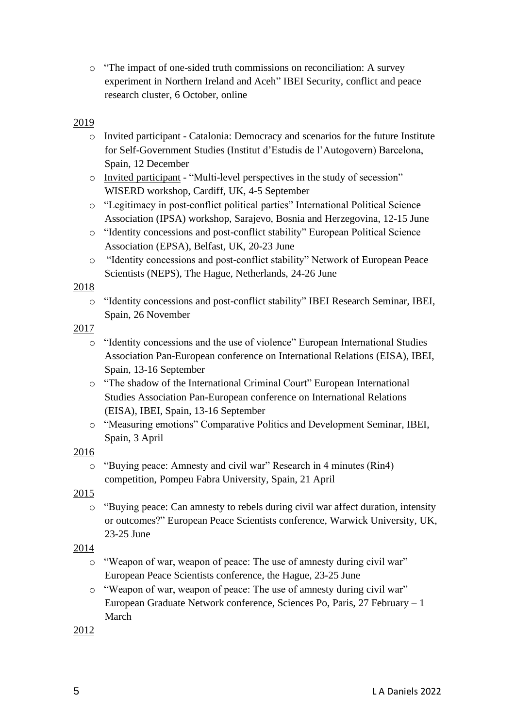o "The impact of one-sided truth commissions on reconciliation: A survey experiment in Northern Ireland and Aceh" IBEI Security, conflict and peace research cluster, 6 October, online

### 2019

- o Invited participant Catalonia: Democracy and scenarios for the future Institute for Self-Government Studies (Institut d'Estudis de l'Autogovern) Barcelona, Spain, 12 December
- o Invited participant "Multi-level perspectives in the study of secession" WISERD workshop, Cardiff, UK, 4-5 September
- o "Legitimacy in post-conflict political parties" International Political Science Association (IPSA) workshop, Sarajevo, Bosnia and Herzegovina, 12-15 June
- o "Identity concessions and post-conflict stability" European Political Science Association (EPSA), Belfast, UK, 20-23 June
- o "Identity concessions and post-conflict stability" Network of European Peace Scientists (NEPS), The Hague, Netherlands, 24-26 June

#### 2018

o "Identity concessions and post-conflict stability" IBEI Research Seminar, IBEI, Spain, 26 November

#### 2017

- o "Identity concessions and the use of violence" European International Studies Association Pan-European conference on International Relations (EISA), IBEI, Spain, 13-16 September
- o "The shadow of the International Criminal Court" European International Studies Association Pan-European conference on International Relations (EISA), IBEI, Spain, 13-16 September
- o "Measuring emotions" Comparative Politics and Development Seminar, IBEI, Spain, 3 April

### 2016

o "Buying peace: Amnesty and civil war" Research in 4 minutes (Rin4) competition, Pompeu Fabra University, Spain, 21 April

### 2015

o "Buying peace: Can amnesty to rebels during civil war affect duration, intensity or outcomes?" European Peace Scientists conference, Warwick University, UK, 23-25 June

### 2014

- o "Weapon of war, weapon of peace: The use of amnesty during civil war" European Peace Scientists conference, the Hague, 23-25 June
- o "Weapon of war, weapon of peace: The use of amnesty during civil war" European Graduate Network conference, Sciences Po, Paris, 27 February – 1 March

2012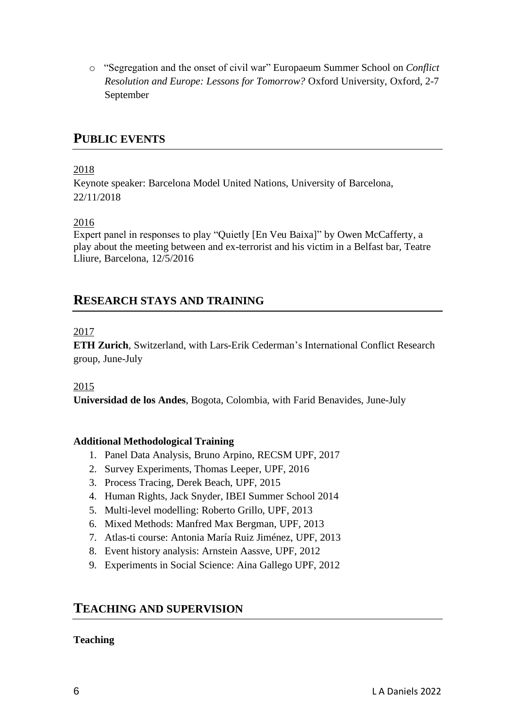o "Segregation and the onset of civil war" Europaeum Summer School on *Conflict Resolution and Europe: Lessons for Tomorrow?* Oxford University, Oxford, 2-7 September

### **PUBLIC EVENTS**

### 2018

Keynote speaker: Barcelona Model United Nations, University of Barcelona, 22/11/2018

### 2016

Expert panel in responses to play "Quietly [En Veu Baixa]" by Owen McCafferty, a play about the meeting between and ex-terrorist and his victim in a Belfast bar, Teatre Lliure, Barcelona, 12/5/2016

### **RESEARCH STAYS AND TRAINING**

### 2017

**ETH Zurich**, Switzerland, with Lars-Erik Cederman's International Conflict Research group, June-July

### 2015

**Universidad de los Andes**, Bogota, Colombia, with Farid Benavides, June-July

#### **Additional Methodological Training**

- 1. Panel Data Analysis, Bruno Arpino, RECSM UPF, 2017
- 2. Survey Experiments, Thomas Leeper, UPF, 2016
- 3. Process Tracing, Derek Beach, UPF, 2015
- 4. Human Rights, Jack Snyder, IBEI Summer School 2014
- 5. Multi-level modelling: Roberto Grillo, UPF, 2013
- 6. Mixed Methods: Manfred Max Bergman, UPF, 2013
- 7. Atlas-ti course: Antonia María Ruiz Jiménez, UPF, 2013
- 8. Event history analysis: Arnstein Aassve, UPF, 2012
- 9. Experiments in Social Science: Aina Gallego UPF, 2012

### **TEACHING AND SUPERVISION**

### **Teaching**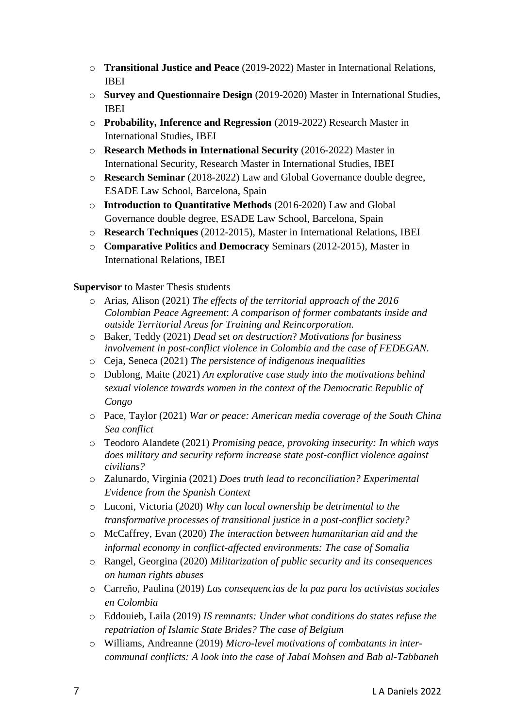- o **Transitional Justice and Peace** (2019-2022) Master in International Relations, IBEI
- o **Survey and Questionnaire Design** (2019-2020) Master in International Studies, IBEI
- o **Probability, Inference and Regression** (2019-2022) Research Master in International Studies, IBEI
- o **Research Methods in International Security** (2016-2022) Master in International Security, Research Master in International Studies, IBEI
- o **Research Seminar** (2018-2022) Law and Global Governance double degree, ESADE Law School, Barcelona, Spain
- o **Introduction to Quantitative Methods** (2016-2020) Law and Global Governance double degree, ESADE Law School, Barcelona, Spain
- o **Research Techniques** (2012-2015), Master in International Relations, IBEI
- o **Comparative Politics and Democracy** Seminars (2012-2015), Master in International Relations, IBEI

### **Supervisor** to Master Thesis students

- o Arias, Alison (2021) *The effects of the territorial approach of the 2016 Colombian Peace Agreement*: *A comparison of former combatants inside and outside Territorial Areas for Training and Reincorporation.*
- o Baker, Teddy (2021) *Dead set on destruction*? *Motivations for business involvement in post-conflict violence in Colombia and the case of FEDEGAN*.
- o Ceja, Seneca (2021) *The persistence of indigenous inequalities*
- o Dublong, Maite (2021) *An explorative case study into the motivations behind sexual violence towards women in the context of the Democratic Republic of Congo*
- o Pace, Taylor (2021) *War or peace: American media coverage of the South China Sea conflict*
- o Teodoro Alandete (2021) *Promising peace, provoking insecurity: In which ways does military and security reform increase state post-conflict violence against civilians?*
- o Zalunardo, Virginia (2021) *Does truth lead to reconciliation? Experimental Evidence from the Spanish Context*
- o Luconi, Victoria (2020) *Why can local ownership be detrimental to the transformative processes of transitional justice in a post-conflict society?*
- o McCaffrey, Evan (2020) *The interaction between humanitarian aid and the informal economy in conflict-affected environments: The case of Somalia*
- o Rangel, Georgina (2020) *Militarization of public security and its consequences on human rights abuses*
- o Carreño, Paulina (2019) *Las consequencias de la paz para los activistas sociales en Colombia*
- o Eddouieb, Laila (2019) *IS remnants: Under what conditions do states refuse the repatriation of Islamic State Brides? The case of Belgium*
- o Williams, Andreanne (2019) *Micro-level motivations of combatants in intercommunal conflicts: A look into the case of Jabal Mohsen and Bab al-Tabbaneh*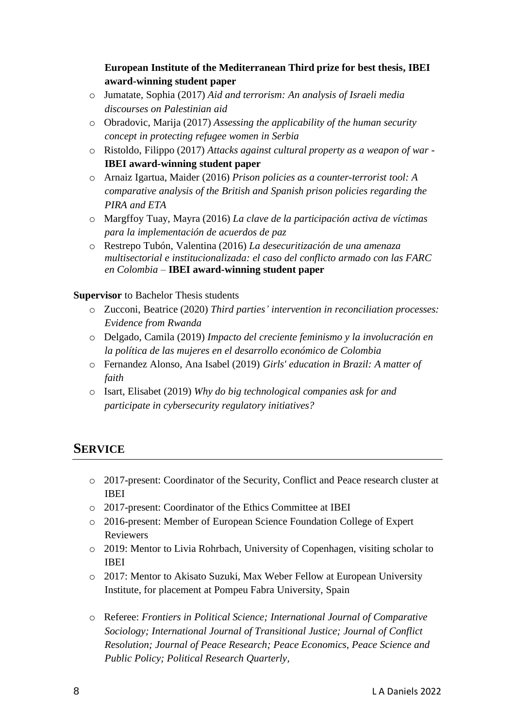**European Institute of the Mediterranean Third prize for best thesis, IBEI award-winning student paper**

- o Jumatate, Sophia (2017) *Aid and terrorism: An analysis of Israeli media discourses on Palestinian aid*
- o Obradovic, Marija (2017) *Assessing the applicability of the human security concept in protecting refugee women in Serbia*
- o Ristoldo, Filippo (2017) *Attacks against cultural property as a weapon of war* **IBEI award-winning student paper**
- o Arnaiz Igartua, Maider (2016) *Prison policies as a counter-terrorist tool: A comparative analysis of the British and Spanish prison policies regarding the PIRA and ETA*
- o Margffoy Tuay, Mayra (2016) *La clave de la participación activa de víctimas para la implementación de acuerdos de paz*
- o Restrepo Tubón, Valentina (2016) *La desecuritización de una amenaza multisectorial e institucionalizada: el caso del conflicto armado con las FARC en Colombia* – **IBEI award-winning student paper**

**Supervisor** to Bachelor Thesis students

- o Zucconi, Beatrice (2020) *Third parties' intervention in reconciliation processes: Evidence from Rwanda*
- o Delgado, Camila (2019) *Impacto del creciente feminismo y la involucración en la política de las mujeres en el desarrollo económico de Colombia*
- o Fernandez Alonso, Ana Isabel (2019) *Girls' education in Brazil: A matter of faith*
- o Isart, Elisabet (2019) *Why do big technological companies ask for and participate in cybersecurity regulatory initiatives?*

# **SERVICE**

- o 2017-present: Coordinator of the Security, Conflict and Peace research cluster at IBEI
- o 2017-present: Coordinator of the Ethics Committee at IBEI
- o 2016-present: Member of European Science Foundation College of Expert Reviewers
- o 2019: Mentor to Livia Rohrbach, University of Copenhagen, visiting scholar to IBEI
- o 2017: Mentor to Akisato Suzuki, Max Weber Fellow at European University Institute, for placement at Pompeu Fabra University, Spain
- o Referee: *Frontiers in Political Science; International Journal of Comparative Sociology; International Journal of Transitional Justice; Journal of Conflict Resolution; Journal of Peace Research; Peace Economics, Peace Science and Public Policy; Political Research Quarterly,*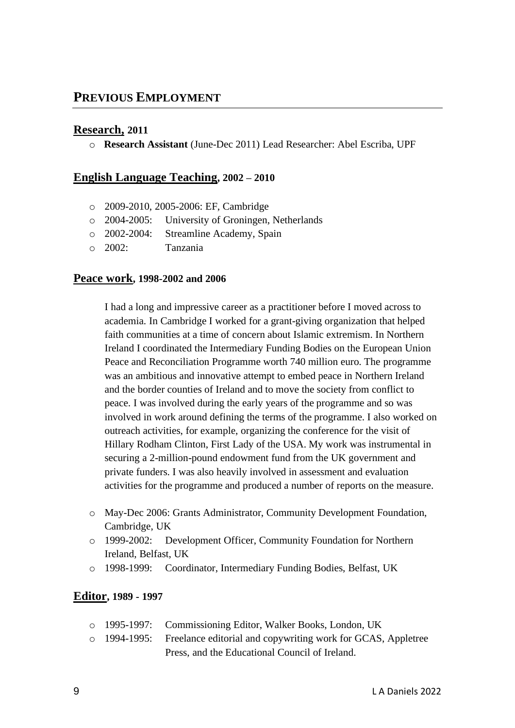### **PREVIOUS EMPLOYMENT**

### **Research, 2011**

o **Research Assistant** (June-Dec 2011) Lead Researcher: Abel Escriba, UPF

### **English Language Teaching, 2002 – 2010**

- o 2009-2010, 2005-2006: EF, Cambridge
- o 2004-2005: University of Groningen, Netherlands
- o 2002-2004: Streamline Academy, Spain
- o 2002: Tanzania

#### **Peace work, 1998-2002 and 2006**

I had a long and impressive career as a practitioner before I moved across to academia. In Cambridge I worked for a grant-giving organization that helped faith communities at a time of concern about Islamic extremism. In Northern Ireland I coordinated the Intermediary Funding Bodies on the European Union Peace and Reconciliation Programme worth 740 million euro. The programme was an ambitious and innovative attempt to embed peace in Northern Ireland and the border counties of Ireland and to move the society from conflict to peace. I was involved during the early years of the programme and so was involved in work around defining the terms of the programme. I also worked on outreach activities, for example, organizing the conference for the visit of Hillary Rodham Clinton, First Lady of the USA. My work was instrumental in securing a 2-million-pound endowment fund from the UK government and private funders. I was also heavily involved in assessment and evaluation activities for the programme and produced a number of reports on the measure.

- o May-Dec 2006: Grants Administrator, Community Development Foundation, Cambridge, UK
- o 1999-2002: Development Officer, Community Foundation for Northern Ireland, Belfast, UK
- o 1998-1999: Coordinator, Intermediary Funding Bodies, Belfast, UK

### **Editor, 1989 - 1997**

|  | o 1995-1997: Commissioning Editor, Walker Books, London, UK                     |
|--|---------------------------------------------------------------------------------|
|  | $\circ$ 1994-1995: Freelance editorial and copywriting work for GCAS, Appletree |
|  | Press, and the Educational Council of Ireland.                                  |